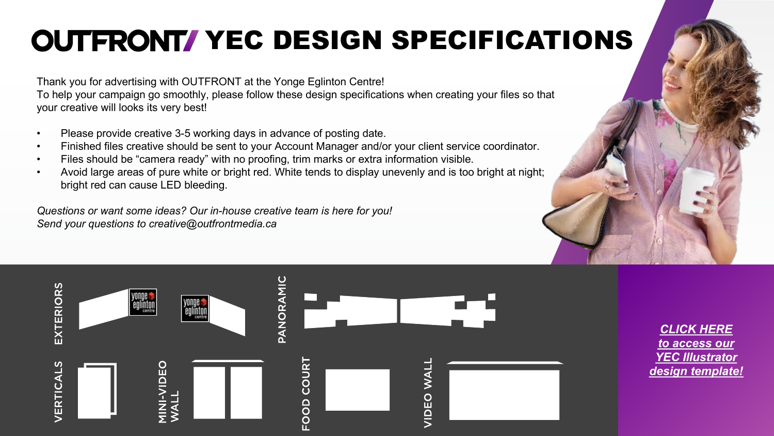# **OUTFRONT/ YEC DESIGN SPECIFICATIONS**

Thank you for advertising with OUTFRONT at the Yonge Eglinton Centre! To help your campaign go smoothly, please follow these design specifications when creating your files so that your creative will looks its very best!

- Please provide creative 3-5 working days in advance of posting date.
- Finished files creative should be sent to your Account Manager and/or your client service coordinator.
- Files should be "camera ready" with no proofing, trim marks or extra information visible.
- Avoid large areas of pure white or bright red. White tends to display unevenly and is too bright at night; bright red can cause LED bleeding.

*Questions or want some ideas? Our in-house creative team is here for you! Send your questions to creative@outfrontmedia.ca*





*[CLICK HERE](https://www.outfrontmedia.ca/resources/productionspecs) to access our [YEC Illustrator](https://www.outfrontmedia.ca/resources/productionspecs) [design template!](https://www.outfrontmedia.ca/resources/productionspecs)*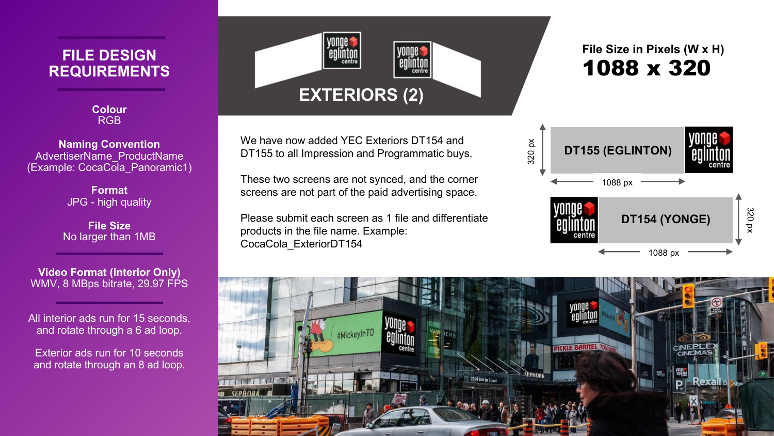### **FILE DESIGN REQUIREMENTS**

**Colour** RGB

**Naming Convention** AdvertiserName\_ProductName (Example: CocaCola\_Panoramic1)

> **Format** JPG - high quality

**File Size** No larger than 1MB

**Video Format (Interior Only)** WMV, 8 MBps bitrate, 29.97 FPS

All interior ads run for 15 seconds, and rotate through a 6 ad loop.

Exterior ads run for 10 seconds and rotate through an 8 ad loop.



We have now added YEC Exteriors DT154 and DT155 to all Impression and Programmatic buys.

These two screens are not synced, and the corner screens are not part of the paid advertising space.

Please submit each screen as 1 file and differentiate products in the file name. Example: CocaCola\_ExteriorDT154

### 1088 x 320 **File Size in Pixels (W x H)**



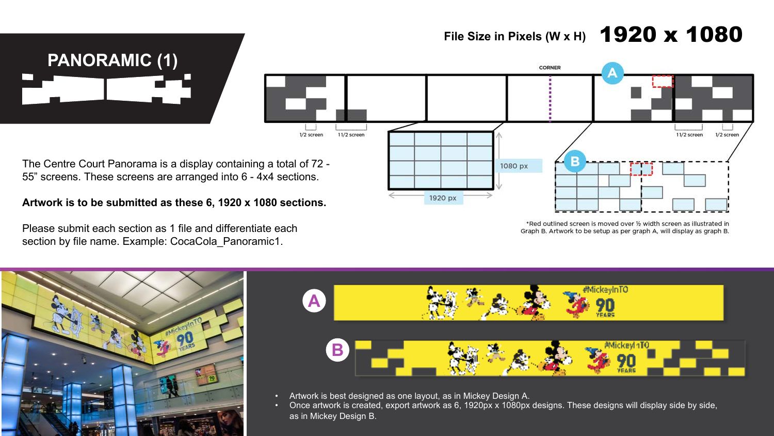## **File Size in Pixels (W x H)** 1920 x 1080





The Centre Court Panorama is a display containing a total of 72 - 55" screens. These screens are arranged into 6 - 4x4 sections.

#### **Artwork is to be submitted as these 6, 1920 x 1080 sections.**

Please submit each section as 1 file and differentiate each section by file name. Example: CocaCola\_Panoramic1.

\*Red outlined screen is moved over 1/2 width screen as illustrated in Graph B. Artwork to be setup as per graph A, will display as graph B.





- Artwork is best designed as one layout, as in Mickey Design A.
- Once artwork is created, export artwork as 6, 1920px x 1080px designs. These designs will display side by side, as in Mickey Design B.